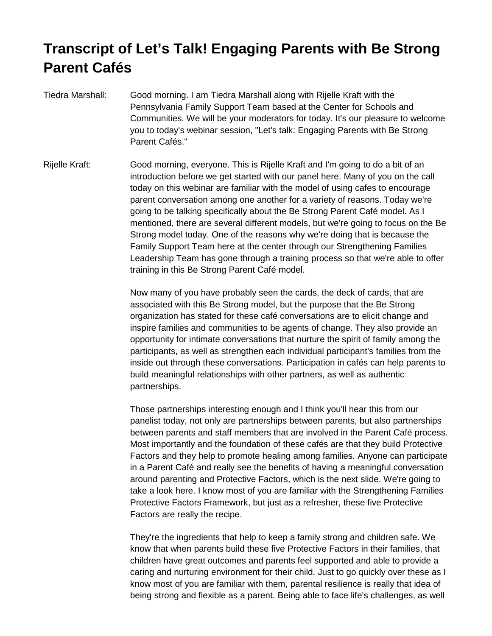## **Transcript of Let's Talk! Engaging Parents with Be Strong Parent Cafés**

- Tiedra Marshall: Good morning. I am Tiedra Marshall along with Rijelle Kraft with the Pennsylvania Family Support Team based at the Center for Schools and Communities. We will be your moderators for today. It's our pleasure to welcome you to today's webinar session, "Let's talk: Engaging Parents with Be Strong Parent Cafés."
- Rijelle Kraft: Good morning, everyone. This is Rijelle Kraft and I'm going to do a bit of an introduction before we get started with our panel here. Many of you on the call today on this webinar are familiar with the model of using cafes to encourage parent conversation among one another for a variety of reasons. Today we're going to be talking specifically about the Be Strong Parent Café model. As I mentioned, there are several different models, but we're going to focus on the Be Strong model today. One of the reasons why we're doing that is because the Family Support Team here at the center through our Strengthening Families Leadership Team has gone through a training process so that we're able to offer training in this Be Strong Parent Café model.

Now many of you have probably seen the cards, the deck of cards, that are associated with this Be Strong model, but the purpose that the Be Strong organization has stated for these café conversations are to elicit change and inspire families and communities to be agents of change. They also provide an opportunity for intimate conversations that nurture the spirit of family among the participants, as well as strengthen each individual participant's families from the inside out through these conversations. Participation in cafés can help parents to build meaningful relationships with other partners, as well as authentic partnerships.

Those partnerships interesting enough and I think you'll hear this from our panelist today, not only are partnerships between parents, but also partnerships between parents and staff members that are involved in the Parent Café process. Most importantly and the foundation of these cafés are that they build Protective Factors and they help to promote healing among families. Anyone can participate in a Parent Café and really see the benefits of having a meaningful conversation around parenting and Protective Factors, which is the next slide. We're going to take a look here. I know most of you are familiar with the Strengthening Families Protective Factors Framework, but just as a refresher, these five Protective Factors are really the recipe.

They're the ingredients that help to keep a family strong and children safe. We know that when parents build these five Protective Factors in their families, that children have great outcomes and parents feel supported and able to provide a caring and nurturing environment for their child. Just to go quickly over these as I know most of you are familiar with them, parental resilience is really that idea of being strong and flexible as a parent. Being able to face life's challenges, as well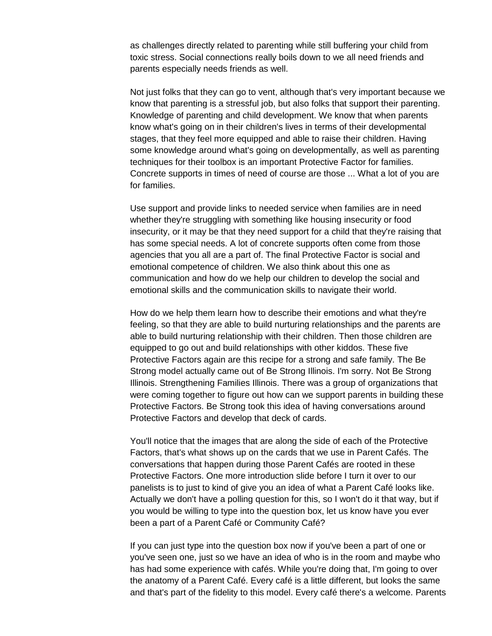as challenges directly related to parenting while still buffering your child from toxic stress. Social connections really boils down to we all need friends and parents especially needs friends as well.

Not just folks that they can go to vent, although that's very important because we know that parenting is a stressful job, but also folks that support their parenting. Knowledge of parenting and child development. We know that when parents know what's going on in their children's lives in terms of their developmental stages, that they feel more equipped and able to raise their children. Having some knowledge around what's going on developmentally, as well as parenting techniques for their toolbox is an important Protective Factor for families. Concrete supports in times of need of course are those ... What a lot of you are for families.

Use support and provide links to needed service when families are in need whether they're struggling with something like housing insecurity or food insecurity, or it may be that they need support for a child that they're raising that has some special needs. A lot of concrete supports often come from those agencies that you all are a part of. The final Protective Factor is social and emotional competence of children. We also think about this one as communication and how do we help our children to develop the social and emotional skills and the communication skills to navigate their world.

How do we help them learn how to describe their emotions and what they're feeling, so that they are able to build nurturing relationships and the parents are able to build nurturing relationship with their children. Then those children are equipped to go out and build relationships with other kiddos. These five Protective Factors again are this recipe for a strong and safe family. The Be Strong model actually came out of Be Strong Illinois. I'm sorry. Not Be Strong Illinois. Strengthening Families Illinois. There was a group of organizations that were coming together to figure out how can we support parents in building these Protective Factors. Be Strong took this idea of having conversations around Protective Factors and develop that deck of cards.

You'll notice that the images that are along the side of each of the Protective Factors, that's what shows up on the cards that we use in Parent Cafés. The conversations that happen during those Parent Cafés are rooted in these Protective Factors. One more introduction slide before I turn it over to our panelists is to just to kind of give you an idea of what a Parent Café looks like. Actually we don't have a polling question for this, so I won't do it that way, but if you would be willing to type into the question box, let us know have you ever been a part of a Parent Café or Community Café?

If you can just type into the question box now if you've been a part of one or you've seen one, just so we have an idea of who is in the room and maybe who has had some experience with cafés. While you're doing that, I'm going to over the anatomy of a Parent Café. Every café is a little different, but looks the same and that's part of the fidelity to this model. Every café there's a welcome. Parents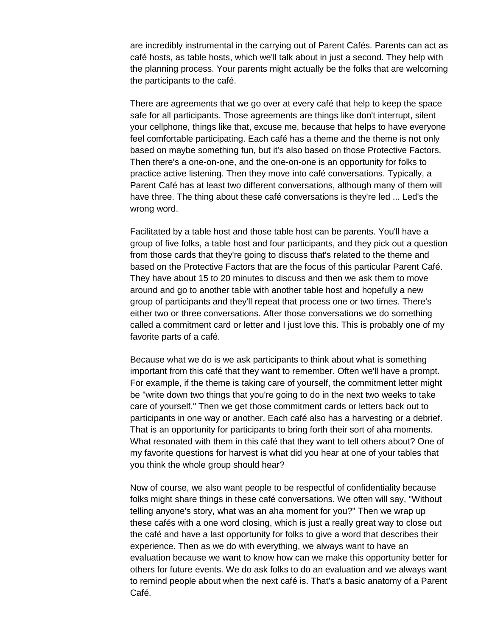are incredibly instrumental in the carrying out of Parent Cafés. Parents can act as café hosts, as table hosts, which we'll talk about in just a second. They help with the planning process. Your parents might actually be the folks that are welcoming the participants to the café.

There are agreements that we go over at every café that help to keep the space safe for all participants. Those agreements are things like don't interrupt, silent your cellphone, things like that, excuse me, because that helps to have everyone feel comfortable participating. Each café has a theme and the theme is not only based on maybe something fun, but it's also based on those Protective Factors. Then there's a one-on-one, and the one-on-one is an opportunity for folks to practice active listening. Then they move into café conversations. Typically, a Parent Café has at least two different conversations, although many of them will have three. The thing about these café conversations is they're led ... Led's the wrong word.

Facilitated by a table host and those table host can be parents. You'll have a group of five folks, a table host and four participants, and they pick out a question from those cards that they're going to discuss that's related to the theme and based on the Protective Factors that are the focus of this particular Parent Café. They have about 15 to 20 minutes to discuss and then we ask them to move around and go to another table with another table host and hopefully a new group of participants and they'll repeat that process one or two times. There's either two or three conversations. After those conversations we do something called a commitment card or letter and I just love this. This is probably one of my favorite parts of a café.

Because what we do is we ask participants to think about what is something important from this café that they want to remember. Often we'll have a prompt. For example, if the theme is taking care of yourself, the commitment letter might be "write down two things that you're going to do in the next two weeks to take care of yourself." Then we get those commitment cards or letters back out to participants in one way or another. Each café also has a harvesting or a debrief. That is an opportunity for participants to bring forth their sort of aha moments. What resonated with them in this café that they want to tell others about? One of my favorite questions for harvest is what did you hear at one of your tables that you think the whole group should hear?

Now of course, we also want people to be respectful of confidentiality because folks might share things in these café conversations. We often will say, "Without telling anyone's story, what was an aha moment for you?" Then we wrap up these cafés with a one word closing, which is just a really great way to close out the café and have a last opportunity for folks to give a word that describes their experience. Then as we do with everything, we always want to have an evaluation because we want to know how can we make this opportunity better for others for future events. We do ask folks to do an evaluation and we always want to remind people about when the next café is. That's a basic anatomy of a Parent Café.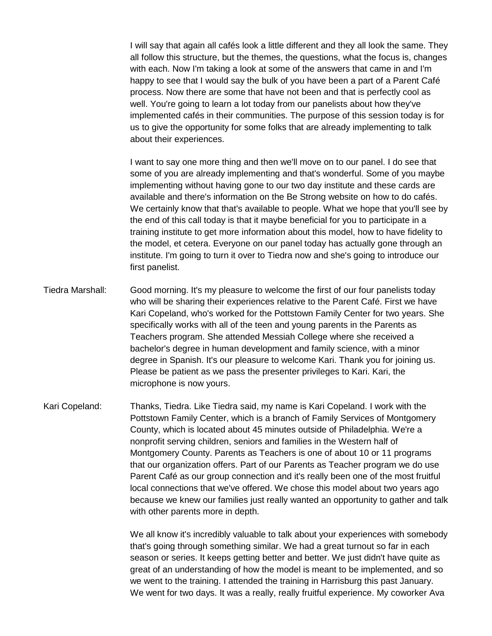I will say that again all cafés look a little different and they all look the same. They all follow this structure, but the themes, the questions, what the focus is, changes with each. Now I'm taking a look at some of the answers that came in and I'm happy to see that I would say the bulk of you have been a part of a Parent Café process. Now there are some that have not been and that is perfectly cool as well. You're going to learn a lot today from our panelists about how they've implemented cafés in their communities. The purpose of this session today is for us to give the opportunity for some folks that are already implementing to talk about their experiences.

I want to say one more thing and then we'll move on to our panel. I do see that some of you are already implementing and that's wonderful. Some of you maybe implementing without having gone to our two day institute and these cards are available and there's information on the Be Strong website on how to do cafés. We certainly know that that's available to people. What we hope that you'll see by the end of this call today is that it maybe beneficial for you to participate in a training institute to get more information about this model, how to have fidelity to the model, et cetera. Everyone on our panel today has actually gone through an institute. I'm going to turn it over to Tiedra now and she's going to introduce our first panelist.

- Tiedra Marshall: Good morning. It's my pleasure to welcome the first of our four panelists today who will be sharing their experiences relative to the Parent Café. First we have Kari Copeland, who's worked for the Pottstown Family Center for two years. She specifically works with all of the teen and young parents in the Parents as Teachers program. She attended Messiah College where she received a bachelor's degree in human development and family science, with a minor degree in Spanish. It's our pleasure to welcome Kari. Thank you for joining us. Please be patient as we pass the presenter privileges to Kari. Kari, the microphone is now yours.
- Kari Copeland: Thanks, Tiedra. Like Tiedra said, my name is Kari Copeland. I work with the Pottstown Family Center, which is a branch of Family Services of Montgomery County, which is located about 45 minutes outside of Philadelphia. We're a nonprofit serving children, seniors and families in the Western half of Montgomery County. Parents as Teachers is one of about 10 or 11 programs that our organization offers. Part of our Parents as Teacher program we do use Parent Café as our group connection and it's really been one of the most fruitful local connections that we've offered. We chose this model about two years ago because we knew our families just really wanted an opportunity to gather and talk with other parents more in depth.

We all know it's incredibly valuable to talk about your experiences with somebody that's going through something similar. We had a great turnout so far in each season or series. It keeps getting better and better. We just didn't have quite as great of an understanding of how the model is meant to be implemented, and so we went to the training. I attended the training in Harrisburg this past January. We went for two days. It was a really, really fruitful experience. My coworker Ava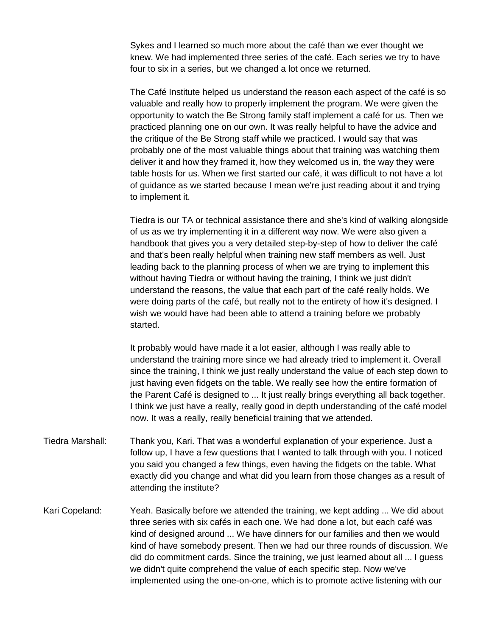Sykes and I learned so much more about the café than we ever thought we knew. We had implemented three series of the café. Each series we try to have four to six in a series, but we changed a lot once we returned.

The Café Institute helped us understand the reason each aspect of the café is so valuable and really how to properly implement the program. We were given the opportunity to watch the Be Strong family staff implement a café for us. Then we practiced planning one on our own. It was really helpful to have the advice and the critique of the Be Strong staff while we practiced. I would say that was probably one of the most valuable things about that training was watching them deliver it and how they framed it, how they welcomed us in, the way they were table hosts for us. When we first started our café, it was difficult to not have a lot of guidance as we started because I mean we're just reading about it and trying to implement it.

Tiedra is our TA or technical assistance there and she's kind of walking alongside of us as we try implementing it in a different way now. We were also given a handbook that gives you a very detailed step-by-step of how to deliver the café and that's been really helpful when training new staff members as well. Just leading back to the planning process of when we are trying to implement this without having Tiedra or without having the training, I think we just didn't understand the reasons, the value that each part of the café really holds. We were doing parts of the café, but really not to the entirety of how it's designed. I wish we would have had been able to attend a training before we probably started.

It probably would have made it a lot easier, although I was really able to understand the training more since we had already tried to implement it. Overall since the training, I think we just really understand the value of each step down to just having even fidgets on the table. We really see how the entire formation of the Parent Café is designed to ... It just really brings everything all back together. I think we just have a really, really good in depth understanding of the café model now. It was a really, really beneficial training that we attended.

- Tiedra Marshall: Thank you, Kari. That was a wonderful explanation of your experience. Just a follow up, I have a few questions that I wanted to talk through with you. I noticed you said you changed a few things, even having the fidgets on the table. What exactly did you change and what did you learn from those changes as a result of attending the institute?
- Kari Copeland: Yeah. Basically before we attended the training, we kept adding ... We did about three series with six cafés in each one. We had done a lot, but each café was kind of designed around ... We have dinners for our families and then we would kind of have somebody present. Then we had our three rounds of discussion. We did do commitment cards. Since the training, we just learned about all ... I guess we didn't quite comprehend the value of each specific step. Now we've implemented using the one-on-one, which is to promote active listening with our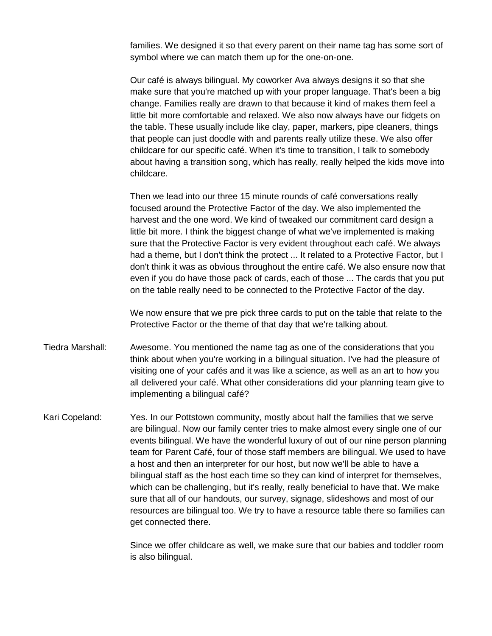families. We designed it so that every parent on their name tag has some sort of symbol where we can match them up for the one-on-one.

Our café is always bilingual. My coworker Ava always designs it so that she make sure that you're matched up with your proper language. That's been a big change. Families really are drawn to that because it kind of makes them feel a little bit more comfortable and relaxed. We also now always have our fidgets on the table. These usually include like clay, paper, markers, pipe cleaners, things that people can just doodle with and parents really utilize these. We also offer childcare for our specific café. When it's time to transition, I talk to somebody about having a transition song, which has really, really helped the kids move into childcare.

Then we lead into our three 15 minute rounds of café conversations really focused around the Protective Factor of the day. We also implemented the harvest and the one word. We kind of tweaked our commitment card design a little bit more. I think the biggest change of what we've implemented is making sure that the Protective Factor is very evident throughout each café. We always had a theme, but I don't think the protect ... It related to a Protective Factor, but I don't think it was as obvious throughout the entire café. We also ensure now that even if you do have those pack of cards, each of those ... The cards that you put on the table really need to be connected to the Protective Factor of the day.

We now ensure that we pre pick three cards to put on the table that relate to the Protective Factor or the theme of that day that we're talking about.

- Tiedra Marshall: Awesome. You mentioned the name tag as one of the considerations that you think about when you're working in a bilingual situation. I've had the pleasure of visiting one of your cafés and it was like a science, as well as an art to how you all delivered your café. What other considerations did your planning team give to implementing a bilingual café?
- Kari Copeland: Yes. In our Pottstown community, mostly about half the families that we serve are bilingual. Now our family center tries to make almost every single one of our events bilingual. We have the wonderful luxury of out of our nine person planning team for Parent Café, four of those staff members are bilingual. We used to have a host and then an interpreter for our host, but now we'll be able to have a bilingual staff as the host each time so they can kind of interpret for themselves, which can be challenging, but it's really, really beneficial to have that. We make sure that all of our handouts, our survey, signage, slideshows and most of our resources are bilingual too. We try to have a resource table there so families can get connected there.

Since we offer childcare as well, we make sure that our babies and toddler room is also bilingual.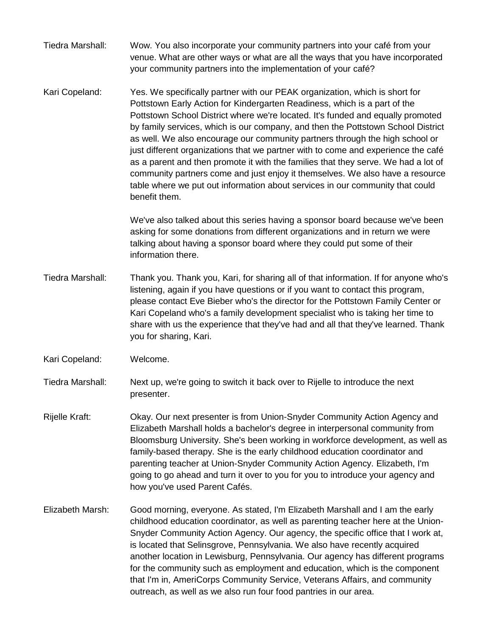- Tiedra Marshall: Wow. You also incorporate your community partners into your café from your venue. What are other ways or what are all the ways that you have incorporated your community partners into the implementation of your café?
- Kari Copeland: Yes. We specifically partner with our PEAK organization, which is short for Pottstown Early Action for Kindergarten Readiness, which is a part of the Pottstown School District where we're located. It's funded and equally promoted by family services, which is our company, and then the Pottstown School District as well. We also encourage our community partners through the high school or just different organizations that we partner with to come and experience the café as a parent and then promote it with the families that they serve. We had a lot of community partners come and just enjoy it themselves. We also have a resource table where we put out information about services in our community that could benefit them.

We've also talked about this series having a sponsor board because we've been asking for some donations from different organizations and in return we were talking about having a sponsor board where they could put some of their information there.

- Tiedra Marshall: Thank you. Thank you, Kari, for sharing all of that information. If for anyone who's listening, again if you have questions or if you want to contact this program, please contact Eve Bieber who's the director for the Pottstown Family Center or Kari Copeland who's a family development specialist who is taking her time to share with us the experience that they've had and all that they've learned. Thank you for sharing, Kari.
- Kari Copeland: Welcome.
- Tiedra Marshall: Next up, we're going to switch it back over to Rijelle to introduce the next presenter.
- Rijelle Kraft: Okay. Our next presenter is from Union-Snyder Community Action Agency and Elizabeth Marshall holds a bachelor's degree in interpersonal community from Bloomsburg University. She's been working in workforce development, as well as family-based therapy. She is the early childhood education coordinator and parenting teacher at Union-Snyder Community Action Agency. Elizabeth, I'm going to go ahead and turn it over to you for you to introduce your agency and how you've used Parent Cafés.
- Elizabeth Marsh: Good morning, everyone. As stated, I'm Elizabeth Marshall and I am the early childhood education coordinator, as well as parenting teacher here at the Union-Snyder Community Action Agency. Our agency, the specific office that I work at, is located that Selinsgrove, Pennsylvania. We also have recently acquired another location in Lewisburg, Pennsylvania. Our agency has different programs for the community such as employment and education, which is the component that I'm in, AmeriCorps Community Service, Veterans Affairs, and community outreach, as well as we also run four food pantries in our area.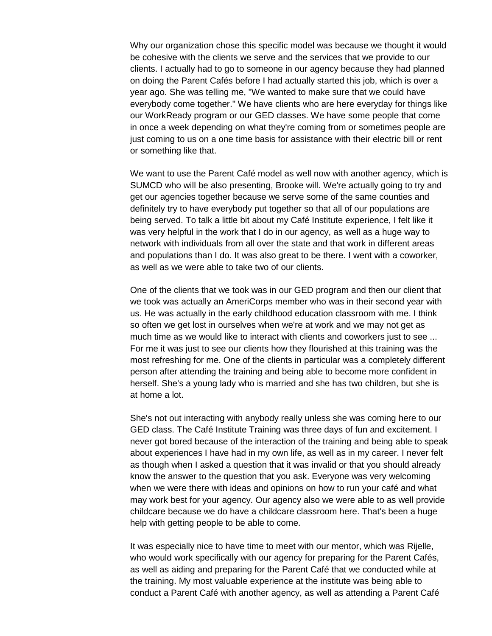Why our organization chose this specific model was because we thought it would be cohesive with the clients we serve and the services that we provide to our clients. I actually had to go to someone in our agency because they had planned on doing the Parent Cafés before I had actually started this job, which is over a year ago. She was telling me, "We wanted to make sure that we could have everybody come together." We have clients who are here everyday for things like our WorkReady program or our GED classes. We have some people that come in once a week depending on what they're coming from or sometimes people are just coming to us on a one time basis for assistance with their electric bill or rent or something like that.

We want to use the Parent Café model as well now with another agency, which is SUMCD who will be also presenting, Brooke will. We're actually going to try and get our agencies together because we serve some of the same counties and definitely try to have everybody put together so that all of our populations are being served. To talk a little bit about my Café Institute experience, I felt like it was very helpful in the work that I do in our agency, as well as a huge way to network with individuals from all over the state and that work in different areas and populations than I do. It was also great to be there. I went with a coworker, as well as we were able to take two of our clients.

One of the clients that we took was in our GED program and then our client that we took was actually an AmeriCorps member who was in their second year with us. He was actually in the early childhood education classroom with me. I think so often we get lost in ourselves when we're at work and we may not get as much time as we would like to interact with clients and coworkers just to see ... For me it was just to see our clients how they flourished at this training was the most refreshing for me. One of the clients in particular was a completely different person after attending the training and being able to become more confident in herself. She's a young lady who is married and she has two children, but she is at home a lot.

She's not out interacting with anybody really unless she was coming here to our GED class. The Café Institute Training was three days of fun and excitement. I never got bored because of the interaction of the training and being able to speak about experiences I have had in my own life, as well as in my career. I never felt as though when I asked a question that it was invalid or that you should already know the answer to the question that you ask. Everyone was very welcoming when we were there with ideas and opinions on how to run your café and what may work best for your agency. Our agency also we were able to as well provide childcare because we do have a childcare classroom here. That's been a huge help with getting people to be able to come.

It was especially nice to have time to meet with our mentor, which was Rijelle, who would work specifically with our agency for preparing for the Parent Cafés, as well as aiding and preparing for the Parent Café that we conducted while at the training. My most valuable experience at the institute was being able to conduct a Parent Café with another agency, as well as attending a Parent Café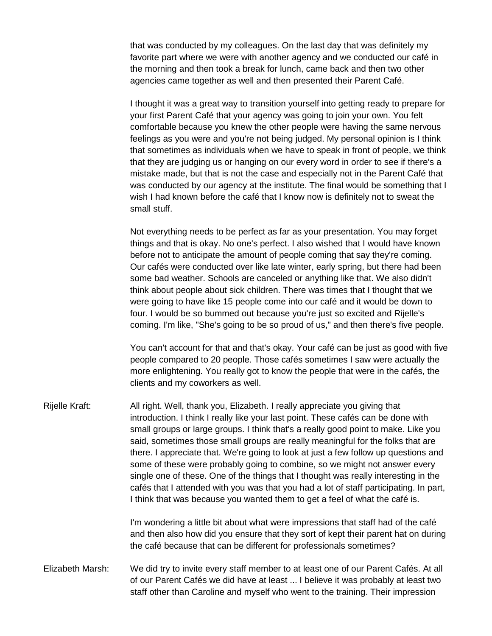that was conducted by my colleagues. On the last day that was definitely my favorite part where we were with another agency and we conducted our café in the morning and then took a break for lunch, came back and then two other agencies came together as well and then presented their Parent Café.

I thought it was a great way to transition yourself into getting ready to prepare for your first Parent Café that your agency was going to join your own. You felt comfortable because you knew the other people were having the same nervous feelings as you were and you're not being judged. My personal opinion is I think that sometimes as individuals when we have to speak in front of people, we think that they are judging us or hanging on our every word in order to see if there's a mistake made, but that is not the case and especially not in the Parent Café that was conducted by our agency at the institute. The final would be something that I wish I had known before the café that I know now is definitely not to sweat the small stuff.

Not everything needs to be perfect as far as your presentation. You may forget things and that is okay. No one's perfect. I also wished that I would have known before not to anticipate the amount of people coming that say they're coming. Our cafés were conducted over like late winter, early spring, but there had been some bad weather. Schools are canceled or anything like that. We also didn't think about people about sick children. There was times that I thought that we were going to have like 15 people come into our café and it would be down to four. I would be so bummed out because you're just so excited and Rijelle's coming. I'm like, "She's going to be so proud of us," and then there's five people.

You can't account for that and that's okay. Your café can be just as good with five people compared to 20 people. Those cafés sometimes I saw were actually the more enlightening. You really got to know the people that were in the cafés, the clients and my coworkers as well.

Rijelle Kraft: All right. Well, thank you, Elizabeth. I really appreciate you giving that introduction. I think I really like your last point. These cafés can be done with small groups or large groups. I think that's a really good point to make. Like you said, sometimes those small groups are really meaningful for the folks that are there. I appreciate that. We're going to look at just a few follow up questions and some of these were probably going to combine, so we might not answer every single one of these. One of the things that I thought was really interesting in the cafés that I attended with you was that you had a lot of staff participating. In part, I think that was because you wanted them to get a feel of what the café is.

> I'm wondering a little bit about what were impressions that staff had of the café and then also how did you ensure that they sort of kept their parent hat on during the café because that can be different for professionals sometimes?

Elizabeth Marsh: We did try to invite every staff member to at least one of our Parent Cafés. At all of our Parent Cafés we did have at least ... I believe it was probably at least two staff other than Caroline and myself who went to the training. Their impression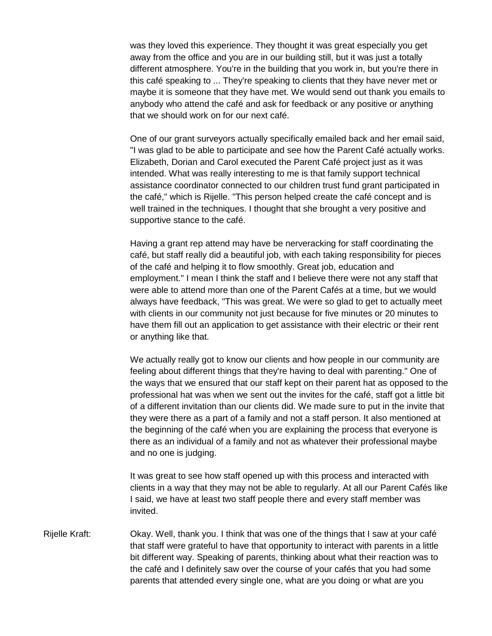was they loved this experience. They thought it was great especially you get away from the office and you are in our building still, but it was just a totally different atmosphere. You're in the building that you work in, but you're there in this café speaking to ... They're speaking to clients that they have never met or maybe it is someone that they have met. We would send out thank you emails to anybody who attend the café and ask for feedback or any positive or anything that we should work on for our next café.

One of our grant surveyors actually specifically emailed back and her email said, "I was glad to be able to participate and see how the Parent Café actually works. Elizabeth, Dorian and Carol executed the Parent Café project just as it was intended. What was really interesting to me is that family support technical assistance coordinator connected to our children trust fund grant participated in the café," which is Rijelle. "This person helped create the café concept and is well trained in the techniques. I thought that she brought a very positive and supportive stance to the café.

Having a grant rep attend may have be nerveracking for staff coordinating the café, but staff really did a beautiful job, with each taking responsibility for pieces of the café and helping it to flow smoothly. Great job, education and employment." I mean I think the staff and I believe there were not any staff that were able to attend more than one of the Parent Cafés at a time, but we would always have feedback, "This was great. We were so glad to get to actually meet with clients in our community not just because for five minutes or 20 minutes to have them fill out an application to get assistance with their electric or their rent or anything like that.

We actually really got to know our clients and how people in our community are feeling about different things that they're having to deal with parenting." One of the ways that we ensured that our staff kept on their parent hat as opposed to the professional hat was when we sent out the invites for the café, staff got a little bit of a different invitation than our clients did. We made sure to put in the invite that they were there as a part of a family and not a staff person. It also mentioned at the beginning of the café when you are explaining the process that everyone is there as an individual of a family and not as whatever their professional maybe and no one is judging.

It was great to see how staff opened up with this process and interacted with clients in a way that they may not be able to regularly. At all our Parent Cafés like I said, we have at least two staff people there and every staff member was invited.

Rijelle Kraft: Okay. Well, thank you. I think that was one of the things that I saw at your café that staff were grateful to have that opportunity to interact with parents in a little bit different way. Speaking of parents, thinking about what their reaction was to the café and I definitely saw over the course of your cafés that you had some parents that attended every single one, what are you doing or what are you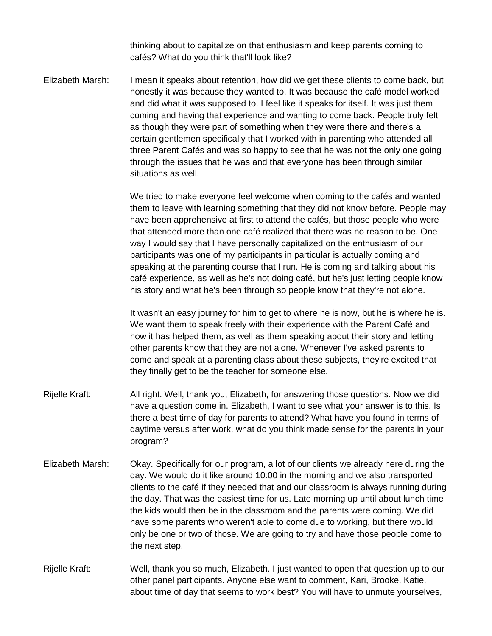thinking about to capitalize on that enthusiasm and keep parents coming to cafés? What do you think that'll look like?

Elizabeth Marsh: I mean it speaks about retention, how did we get these clients to come back, but honestly it was because they wanted to. It was because the café model worked and did what it was supposed to. I feel like it speaks for itself. It was just them coming and having that experience and wanting to come back. People truly felt as though they were part of something when they were there and there's a certain gentlemen specifically that I worked with in parenting who attended all three Parent Cafés and was so happy to see that he was not the only one going through the issues that he was and that everyone has been through similar situations as well.

> We tried to make everyone feel welcome when coming to the cafés and wanted them to leave with learning something that they did not know before. People may have been apprehensive at first to attend the cafés, but those people who were that attended more than one café realized that there was no reason to be. One way I would say that I have personally capitalized on the enthusiasm of our participants was one of my participants in particular is actually coming and speaking at the parenting course that I run. He is coming and talking about his café experience, as well as he's not doing café, but he's just letting people know his story and what he's been through so people know that they're not alone.

> It wasn't an easy journey for him to get to where he is now, but he is where he is. We want them to speak freely with their experience with the Parent Café and how it has helped them, as well as them speaking about their story and letting other parents know that they are not alone. Whenever I've asked parents to come and speak at a parenting class about these subjects, they're excited that they finally get to be the teacher for someone else.

- Rijelle Kraft: All right. Well, thank you, Elizabeth, for answering those questions. Now we did have a question come in. Elizabeth, I want to see what your answer is to this. Is there a best time of day for parents to attend? What have you found in terms of daytime versus after work, what do you think made sense for the parents in your program?
- Elizabeth Marsh: Okay. Specifically for our program, a lot of our clients we already here during the day. We would do it like around 10:00 in the morning and we also transported clients to the café if they needed that and our classroom is always running during the day. That was the easiest time for us. Late morning up until about lunch time the kids would then be in the classroom and the parents were coming. We did have some parents who weren't able to come due to working, but there would only be one or two of those. We are going to try and have those people come to the next step.
- Rijelle Kraft: Well, thank you so much, Elizabeth. I just wanted to open that question up to our other panel participants. Anyone else want to comment, Kari, Brooke, Katie, about time of day that seems to work best? You will have to unmute yourselves,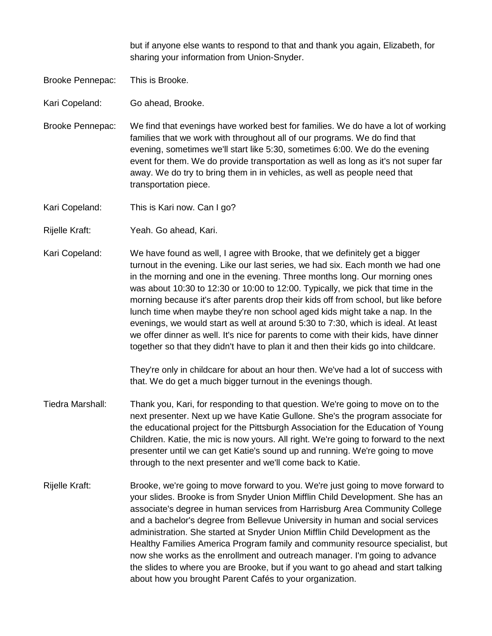but if anyone else wants to respond to that and thank you again, Elizabeth, for sharing your information from Union-Snyder.

Brooke Pennepac: This is Brooke.

Kari Copeland: Go ahead, Brooke.

Brooke Pennepac: We find that evenings have worked best for families. We do have a lot of working families that we work with throughout all of our programs. We do find that evening, sometimes we'll start like 5:30, sometimes 6:00. We do the evening event for them. We do provide transportation as well as long as it's not super far away. We do try to bring them in in vehicles, as well as people need that transportation piece.

Kari Copeland: This is Kari now. Can I go?

Rijelle Kraft: Yeah. Go ahead, Kari.

Kari Copeland: We have found as well, I agree with Brooke, that we definitely get a bigger turnout in the evening. Like our last series, we had six. Each month we had one in the morning and one in the evening. Three months long. Our morning ones was about 10:30 to 12:30 or 10:00 to 12:00. Typically, we pick that time in the morning because it's after parents drop their kids off from school, but like before lunch time when maybe they're non school aged kids might take a nap. In the evenings, we would start as well at around 5:30 to 7:30, which is ideal. At least we offer dinner as well. It's nice for parents to come with their kids, have dinner together so that they didn't have to plan it and then their kids go into childcare.

> They're only in childcare for about an hour then. We've had a lot of success with that. We do get a much bigger turnout in the evenings though.

- Tiedra Marshall: Thank you, Kari, for responding to that question. We're going to move on to the next presenter. Next up we have Katie Gullone. She's the program associate for the educational project for the Pittsburgh Association for the Education of Young Children. Katie, the mic is now yours. All right. We're going to forward to the next presenter until we can get Katie's sound up and running. We're going to move through to the next presenter and we'll come back to Katie.
- Rijelle Kraft: Brooke, we're going to move forward to you. We're just going to move forward to your slides. Brooke is from Snyder Union Mifflin Child Development. She has an associate's degree in human services from Harrisburg Area Community College and a bachelor's degree from Bellevue University in human and social services administration. She started at Snyder Union Mifflin Child Development as the Healthy Families America Program family and community resource specialist, but now she works as the enrollment and outreach manager. I'm going to advance the slides to where you are Brooke, but if you want to go ahead and start talking about how you brought Parent Cafés to your organization.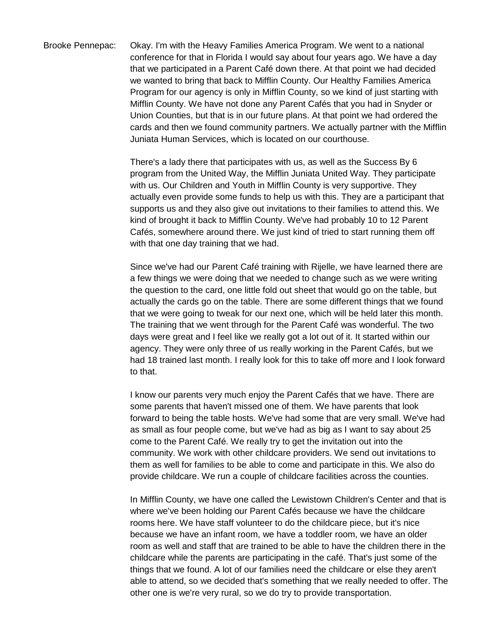Brooke Pennepac: Okay. I'm with the Heavy Families America Program. We went to a national conference for that in Florida I would say about four years ago. We have a day that we participated in a Parent Café down there. At that point we had decided we wanted to bring that back to Mifflin County. Our Healthy Families America Program for our agency is only in Mifflin County, so we kind of just starting with Mifflin County. We have not done any Parent Cafés that you had in Snyder or Union Counties, but that is in our future plans. At that point we had ordered the cards and then we found community partners. We actually partner with the Mifflin Juniata Human Services, which is located on our courthouse.

> There's a lady there that participates with us, as well as the Success By 6 program from the United Way, the Mifflin Juniata United Way. They participate with us. Our Children and Youth in Mifflin County is very supportive. They actually even provide some funds to help us with this. They are a participant that supports us and they also give out invitations to their families to attend this. We kind of brought it back to Mifflin County. We've had probably 10 to 12 Parent Cafés, somewhere around there. We just kind of tried to start running them off with that one day training that we had.

> Since we've had our Parent Café training with Rijelle, we have learned there are a few things we were doing that we needed to change such as we were writing the question to the card, one little fold out sheet that would go on the table, but actually the cards go on the table. There are some different things that we found that we were going to tweak for our next one, which will be held later this month. The training that we went through for the Parent Café was wonderful. The two days were great and I feel like we really got a lot out of it. It started within our agency. They were only three of us really working in the Parent Cafés, but we had 18 trained last month. I really look for this to take off more and I look forward to that.

> I know our parents very much enjoy the Parent Cafés that we have. There are some parents that haven't missed one of them. We have parents that look forward to being the table hosts. We've had some that are very small. We've had as small as four people come, but we've had as big as I want to say about 25 come to the Parent Café. We really try to get the invitation out into the community. We work with other childcare providers. We send out invitations to them as well for families to be able to come and participate in this. We also do provide childcare. We run a couple of childcare facilities across the counties.

> In Mifflin County, we have one called the Lewistown Children's Center and that is where we've been holding our Parent Cafés because we have the childcare rooms here. We have staff volunteer to do the childcare piece, but it's nice because we have an infant room, we have a toddler room, we have an older room as well and staff that are trained to be able to have the children there in the childcare while the parents are participating in the café. That's just some of the things that we found. A lot of our families need the childcare or else they aren't able to attend, so we decided that's something that we really needed to offer. The other one is we're very rural, so we do try to provide transportation.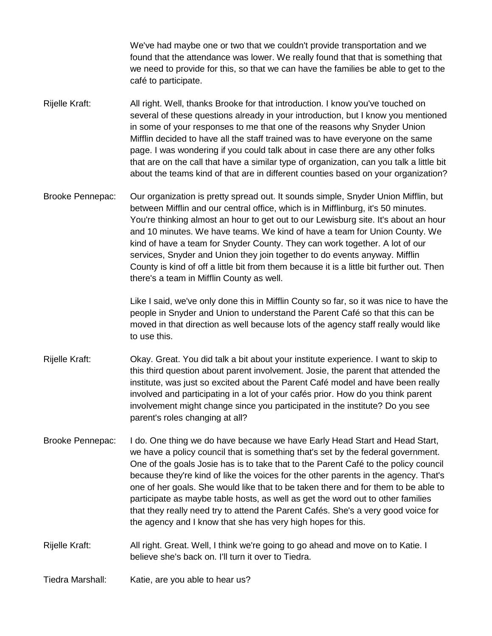We've had maybe one or two that we couldn't provide transportation and we found that the attendance was lower. We really found that that is something that we need to provide for this, so that we can have the families be able to get to the café to participate.

- Rijelle Kraft: All right. Well, thanks Brooke for that introduction. I know you've touched on several of these questions already in your introduction, but I know you mentioned in some of your responses to me that one of the reasons why Snyder Union Mifflin decided to have all the staff trained was to have everyone on the same page. I was wondering if you could talk about in case there are any other folks that are on the call that have a similar type of organization, can you talk a little bit about the teams kind of that are in different counties based on your organization?
- Brooke Pennepac: Our organization is pretty spread out. It sounds simple, Snyder Union Mifflin, but between Mifflin and our central office, which is in Mifflinburg, it's 50 minutes. You're thinking almost an hour to get out to our Lewisburg site. It's about an hour and 10 minutes. We have teams. We kind of have a team for Union County. We kind of have a team for Snyder County. They can work together. A lot of our services, Snyder and Union they join together to do events anyway. Mifflin County is kind of off a little bit from them because it is a little bit further out. Then there's a team in Mifflin County as well.

Like I said, we've only done this in Mifflin County so far, so it was nice to have the people in Snyder and Union to understand the Parent Café so that this can be moved in that direction as well because lots of the agency staff really would like to use this.

- Rijelle Kraft: Okay. Great. You did talk a bit about your institute experience. I want to skip to this third question about parent involvement. Josie, the parent that attended the institute, was just so excited about the Parent Café model and have been really involved and participating in a lot of your cafés prior. How do you think parent involvement might change since you participated in the institute? Do you see parent's roles changing at all?
- Brooke Pennepac: I do. One thing we do have because we have Early Head Start and Head Start, we have a policy council that is something that's set by the federal government. One of the goals Josie has is to take that to the Parent Café to the policy council because they're kind of like the voices for the other parents in the agency. That's one of her goals. She would like that to be taken there and for them to be able to participate as maybe table hosts, as well as get the word out to other families that they really need try to attend the Parent Cafés. She's a very good voice for the agency and I know that she has very high hopes for this.
- Rijelle Kraft: All right. Great. Well, I think we're going to go ahead and move on to Katie. I believe she's back on. I'll turn it over to Tiedra.

Tiedra Marshall: Katie, are you able to hear us?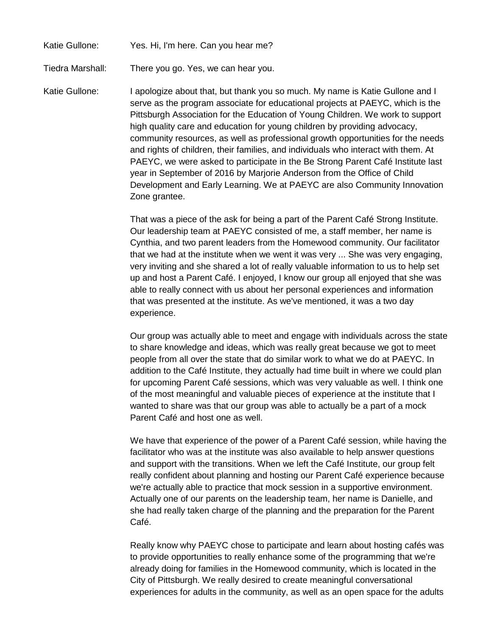## Katie Gullone: Yes. Hi, I'm here. Can you hear me?

Tiedra Marshall: There you go. Yes, we can hear you.

Katie Gullone: I apologize about that, but thank you so much. My name is Katie Gullone and I serve as the program associate for educational projects at PAEYC, which is the Pittsburgh Association for the Education of Young Children. We work to support high quality care and education for young children by providing advocacy, community resources, as well as professional growth opportunities for the needs and rights of children, their families, and individuals who interact with them. At PAEYC, we were asked to participate in the Be Strong Parent Café Institute last year in September of 2016 by Marjorie Anderson from the Office of Child Development and Early Learning. We at PAEYC are also Community Innovation Zone grantee.

> That was a piece of the ask for being a part of the Parent Café Strong Institute. Our leadership team at PAEYC consisted of me, a staff member, her name is Cynthia, and two parent leaders from the Homewood community. Our facilitator that we had at the institute when we went it was very ... She was very engaging, very inviting and she shared a lot of really valuable information to us to help set up and host a Parent Café. I enjoyed, I know our group all enjoyed that she was able to really connect with us about her personal experiences and information that was presented at the institute. As we've mentioned, it was a two day experience.

Our group was actually able to meet and engage with individuals across the state to share knowledge and ideas, which was really great because we got to meet people from all over the state that do similar work to what we do at PAEYC. In addition to the Café Institute, they actually had time built in where we could plan for upcoming Parent Café sessions, which was very valuable as well. I think one of the most meaningful and valuable pieces of experience at the institute that I wanted to share was that our group was able to actually be a part of a mock Parent Café and host one as well.

We have that experience of the power of a Parent Café session, while having the facilitator who was at the institute was also available to help answer questions and support with the transitions. When we left the Café Institute, our group felt really confident about planning and hosting our Parent Café experience because we're actually able to practice that mock session in a supportive environment. Actually one of our parents on the leadership team, her name is Danielle, and she had really taken charge of the planning and the preparation for the Parent Café.

Really know why PAEYC chose to participate and learn about hosting cafés was to provide opportunities to really enhance some of the programming that we're already doing for families in the Homewood community, which is located in the City of Pittsburgh. We really desired to create meaningful conversational experiences for adults in the community, as well as an open space for the adults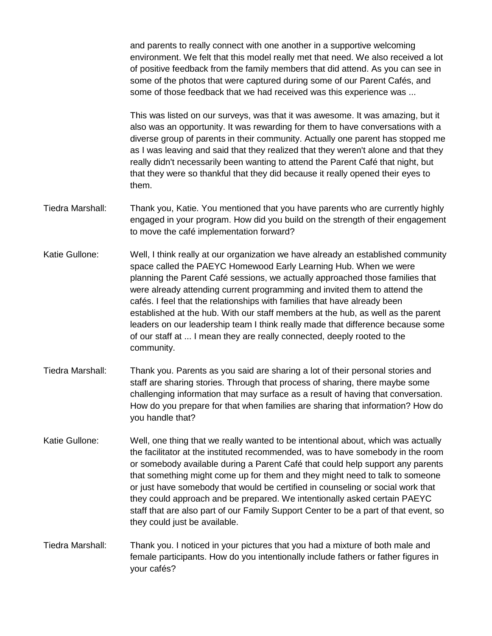and parents to really connect with one another in a supportive welcoming environment. We felt that this model really met that need. We also received a lot of positive feedback from the family members that did attend. As you can see in some of the photos that were captured during some of our Parent Cafés, and some of those feedback that we had received was this experience was ...

This was listed on our surveys, was that it was awesome. It was amazing, but it also was an opportunity. It was rewarding for them to have conversations with a diverse group of parents in their community. Actually one parent has stopped me as I was leaving and said that they realized that they weren't alone and that they really didn't necessarily been wanting to attend the Parent Café that night, but that they were so thankful that they did because it really opened their eyes to them.

- Tiedra Marshall: Thank you, Katie. You mentioned that you have parents who are currently highly engaged in your program. How did you build on the strength of their engagement to move the café implementation forward?
- Katie Gullone: Well, I think really at our organization we have already an established community space called the PAEYC Homewood Early Learning Hub. When we were planning the Parent Café sessions, we actually approached those families that were already attending current programming and invited them to attend the cafés. I feel that the relationships with families that have already been established at the hub. With our staff members at the hub, as well as the parent leaders on our leadership team I think really made that difference because some of our staff at ... I mean they are really connected, deeply rooted to the community.
- Tiedra Marshall: Thank you. Parents as you said are sharing a lot of their personal stories and staff are sharing stories. Through that process of sharing, there maybe some challenging information that may surface as a result of having that conversation. How do you prepare for that when families are sharing that information? How do you handle that?
- Katie Gullone: Well, one thing that we really wanted to be intentional about, which was actually the facilitator at the instituted recommended, was to have somebody in the room or somebody available during a Parent Café that could help support any parents that something might come up for them and they might need to talk to someone or just have somebody that would be certified in counseling or social work that they could approach and be prepared. We intentionally asked certain PAEYC staff that are also part of our Family Support Center to be a part of that event, so they could just be available.
- Tiedra Marshall: Thank you. I noticed in your pictures that you had a mixture of both male and female participants. How do you intentionally include fathers or father figures in your cafés?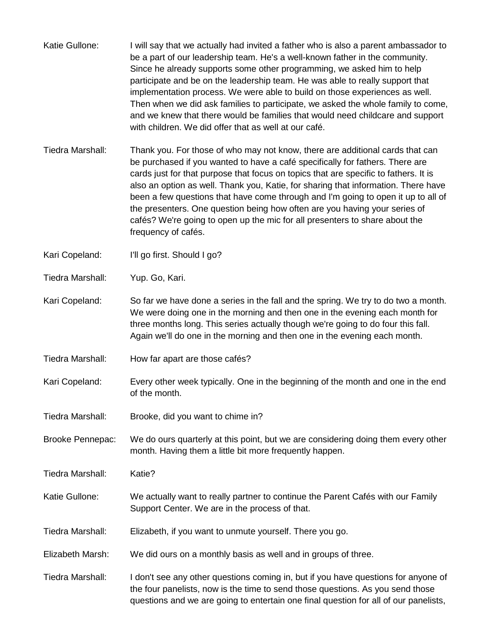- Katie Gullone: I will say that we actually had invited a father who is also a parent ambassador to be a part of our leadership team. He's a well-known father in the community. Since he already supports some other programming, we asked him to help participate and be on the leadership team. He was able to really support that implementation process. We were able to build on those experiences as well. Then when we did ask families to participate, we asked the whole family to come, and we knew that there would be families that would need childcare and support with children. We did offer that as well at our café.
- Tiedra Marshall: Thank you. For those of who may not know, there are additional cards that can be purchased if you wanted to have a café specifically for fathers. There are cards just for that purpose that focus on topics that are specific to fathers. It is also an option as well. Thank you, Katie, for sharing that information. There have been a few questions that have come through and I'm going to open it up to all of the presenters. One question being how often are you having your series of cafés? We're going to open up the mic for all presenters to share about the frequency of cafés.

Kari Copeland: I'll go first. Should I go?

Tiedra Marshall: Yup. Go, Kari.

- Kari Copeland: So far we have done a series in the fall and the spring. We try to do two a month. We were doing one in the morning and then one in the evening each month for three months long. This series actually though we're going to do four this fall. Again we'll do one in the morning and then one in the evening each month.
- Tiedra Marshall: How far apart are those cafés?
- Kari Copeland: Every other week typically. One in the beginning of the month and one in the end of the month.
- Tiedra Marshall: Brooke, did you want to chime in?

Brooke Pennepac: We do ours quarterly at this point, but we are considering doing them every other month. Having them a little bit more frequently happen.

Tiedra Marshall: Katie?

- Katie Gullone: We actually want to really partner to continue the Parent Cafés with our Family Support Center. We are in the process of that.
- Tiedra Marshall: Elizabeth, if you want to unmute yourself. There you go.

Elizabeth Marsh: We did ours on a monthly basis as well and in groups of three.

Tiedra Marshall: I don't see any other questions coming in, but if you have questions for anyone of the four panelists, now is the time to send those questions. As you send those questions and we are going to entertain one final question for all of our panelists,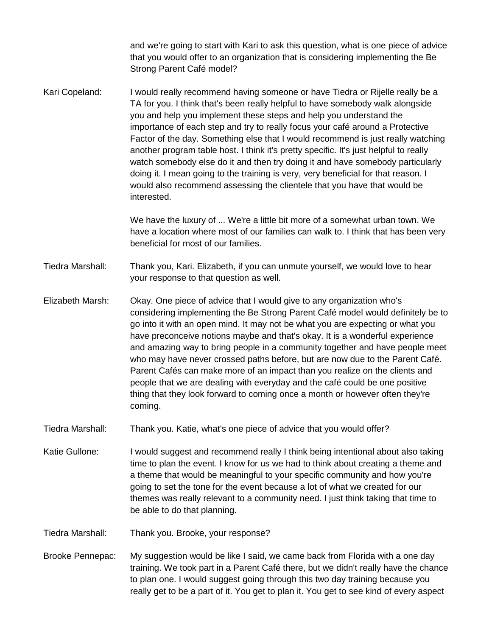and we're going to start with Kari to ask this question, what is one piece of advice that you would offer to an organization that is considering implementing the Be Strong Parent Café model?

Kari Copeland: I would really recommend having someone or have Tiedra or Rijelle really be a TA for you. I think that's been really helpful to have somebody walk alongside you and help you implement these steps and help you understand the importance of each step and try to really focus your café around a Protective Factor of the day. Something else that I would recommend is just really watching another program table host. I think it's pretty specific. It's just helpful to really watch somebody else do it and then try doing it and have somebody particularly doing it. I mean going to the training is very, very beneficial for that reason. I would also recommend assessing the clientele that you have that would be interested.

> We have the luxury of ... We're a little bit more of a somewhat urban town. We have a location where most of our families can walk to. I think that has been very beneficial for most of our families.

Tiedra Marshall: Thank you, Kari. Elizabeth, if you can unmute yourself, we would love to hear your response to that question as well.

Elizabeth Marsh: Okay. One piece of advice that I would give to any organization who's considering implementing the Be Strong Parent Café model would definitely be to go into it with an open mind. It may not be what you are expecting or what you have preconceive notions maybe and that's okay. It is a wonderful experience and amazing way to bring people in a community together and have people meet who may have never crossed paths before, but are now due to the Parent Café. Parent Cafés can make more of an impact than you realize on the clients and people that we are dealing with everyday and the café could be one positive thing that they look forward to coming once a month or however often they're coming.

Tiedra Marshall: Thank you. Katie, what's one piece of advice that you would offer?

Katie Gullone: I would suggest and recommend really I think being intentional about also taking time to plan the event. I know for us we had to think about creating a theme and a theme that would be meaningful to your specific community and how you're going to set the tone for the event because a lot of what we created for our themes was really relevant to a community need. I just think taking that time to be able to do that planning.

Tiedra Marshall: Thank you. Brooke, your response?

Brooke Pennepac: My suggestion would be like I said, we came back from Florida with a one day training. We took part in a Parent Café there, but we didn't really have the chance to plan one. I would suggest going through this two day training because you really get to be a part of it. You get to plan it. You get to see kind of every aspect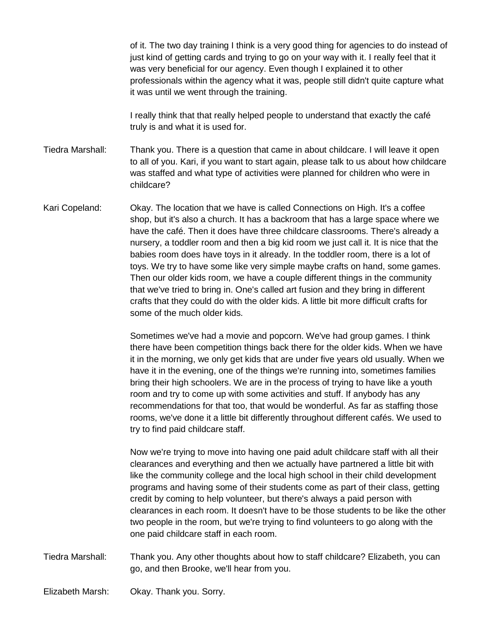of it. The two day training I think is a very good thing for agencies to do instead of just kind of getting cards and trying to go on your way with it. I really feel that it was very beneficial for our agency. Even though I explained it to other professionals within the agency what it was, people still didn't quite capture what it was until we went through the training.

I really think that that really helped people to understand that exactly the café truly is and what it is used for.

Tiedra Marshall: Thank you. There is a question that came in about childcare. I will leave it open to all of you. Kari, if you want to start again, please talk to us about how childcare was staffed and what type of activities were planned for children who were in childcare?

Kari Copeland: Okay. The location that we have is called Connections on High. It's a coffee shop, but it's also a church. It has a backroom that has a large space where we have the café. Then it does have three childcare classrooms. There's already a nursery, a toddler room and then a big kid room we just call it. It is nice that the babies room does have toys in it already. In the toddler room, there is a lot of toys. We try to have some like very simple maybe crafts on hand, some games. Then our older kids room, we have a couple different things in the community that we've tried to bring in. One's called art fusion and they bring in different crafts that they could do with the older kids. A little bit more difficult crafts for some of the much older kids.

> Sometimes we've had a movie and popcorn. We've had group games. I think there have been competition things back there for the older kids. When we have it in the morning, we only get kids that are under five years old usually. When we have it in the evening, one of the things we're running into, sometimes families bring their high schoolers. We are in the process of trying to have like a youth room and try to come up with some activities and stuff. If anybody has any recommendations for that too, that would be wonderful. As far as staffing those rooms, we've done it a little bit differently throughout different cafés. We used to try to find paid childcare staff.

> Now we're trying to move into having one paid adult childcare staff with all their clearances and everything and then we actually have partnered a little bit with like the community college and the local high school in their child development programs and having some of their students come as part of their class, getting credit by coming to help volunteer, but there's always a paid person with clearances in each room. It doesn't have to be those students to be like the other two people in the room, but we're trying to find volunteers to go along with the one paid childcare staff in each room.

Tiedra Marshall: Thank you. Any other thoughts about how to staff childcare? Elizabeth, you can go, and then Brooke, we'll hear from you.

Elizabeth Marsh: Okay. Thank you. Sorry.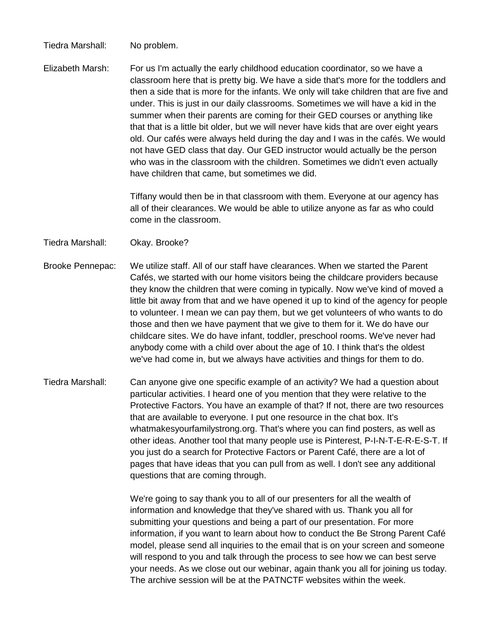Tiedra Marshall: No problem.

Elizabeth Marsh: For us I'm actually the early childhood education coordinator, so we have a classroom here that is pretty big. We have a side that's more for the toddlers and then a side that is more for the infants. We only will take children that are five and under. This is just in our daily classrooms. Sometimes we will have a kid in the summer when their parents are coming for their GED courses or anything like that that is a little bit older, but we will never have kids that are over eight years old. Our cafés were always held during the day and I was in the cafés. We would not have GED class that day. Our GED instructor would actually be the person who was in the classroom with the children. Sometimes we didn't even actually have children that came, but sometimes we did.

> Tiffany would then be in that classroom with them. Everyone at our agency has all of their clearances. We would be able to utilize anyone as far as who could come in the classroom.

Tiedra Marshall: Okay. Brooke?

- Brooke Pennepac: We utilize staff. All of our staff have clearances. When we started the Parent Cafés, we started with our home visitors being the childcare providers because they know the children that were coming in typically. Now we've kind of moved a little bit away from that and we have opened it up to kind of the agency for people to volunteer. I mean we can pay them, but we get volunteers of who wants to do those and then we have payment that we give to them for it. We do have our childcare sites. We do have infant, toddler, preschool rooms. We've never had anybody come with a child over about the age of 10. I think that's the oldest we've had come in, but we always have activities and things for them to do.
- Tiedra Marshall: Can anyone give one specific example of an activity? We had a question about particular activities. I heard one of you mention that they were relative to the Protective Factors. You have an example of that? If not, there are two resources that are available to everyone. I put one resource in the chat box. It's whatmakesyourfamilystrong.org. That's where you can find posters, as well as other ideas. Another tool that many people use is Pinterest, P-I-N-T-E-R-E-S-T. If you just do a search for Protective Factors or Parent Café, there are a lot of pages that have ideas that you can pull from as well. I don't see any additional questions that are coming through.

We're going to say thank you to all of our presenters for all the wealth of information and knowledge that they've shared with us. Thank you all for submitting your questions and being a part of our presentation. For more information, if you want to learn about how to conduct the Be Strong Parent Café model, please send all inquiries to the email that is on your screen and someone will respond to you and talk through the process to see how we can best serve your needs. As we close out our webinar, again thank you all for joining us today. The archive session will be at the PATNCTF websites within the week.